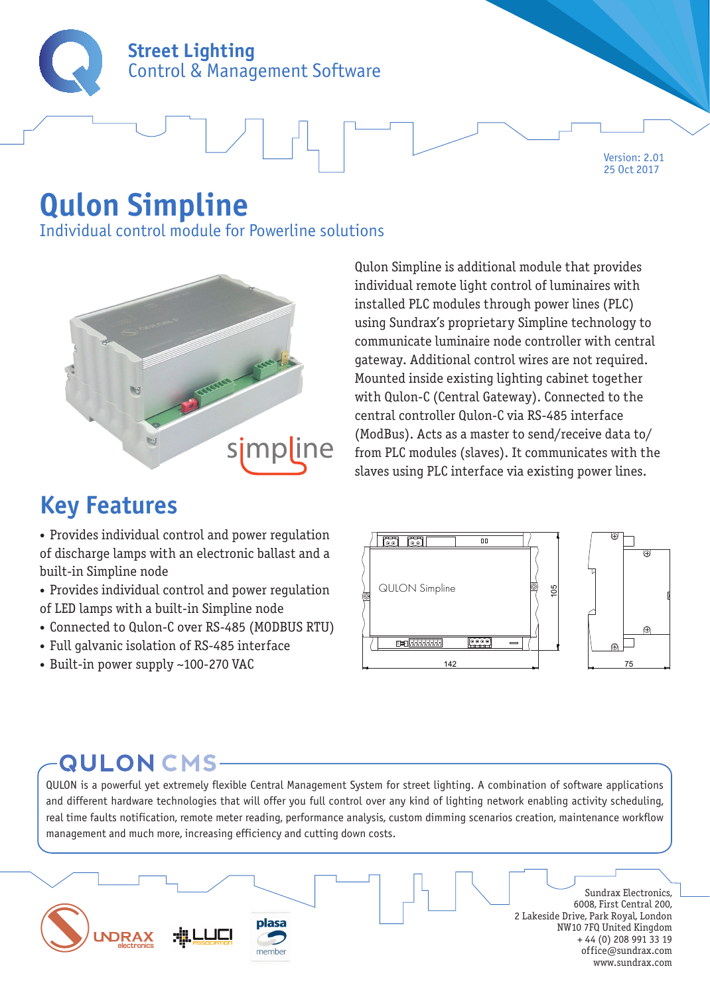

# **Qulon Simpline**

Individual control module for Powerline solutions



## **Key Features**

• Provides individual control and power regulation of discharge lamps with an electronic ballast and a built-in Simpline node

• Provides individual control and power regulation of LED lamps with a built-in Simpline node

- Connected to Qulon-C over RS-485 (MODBUS RTU)
- Full galvanic isolation of RS-485 interface
- Built-in power supply ~100-270 VAC

Qulon Simpline is additional module that provides individual remote light control of luminaires with installed PLC modules through power lines (PLC) using Sundrax's proprietary Simpline technology to communicate luminaire node controller with central gateway. Additional control wires are not required. Mounted inside existing lighting cabinet together with Qulon-C (Central Gateway). Connected to the central controller Qulon-C via RS-485 interface (ModBus). Acts as a master to send/receive data to/ from PLC modules (slaves). It communicates with the slaves using PLC interface via existing power lines.

Version: 2.01 25 Oct 2017



### **QULON CMS-**

QULON is a powerful yet extremely flexible Central Management System for street lighting. A combination of software applications and different hardware technologies that will offer you full control over any kind of lighting network enabling activity scheduling, real time faults notification, remote meter reading, performance analysis, custom dimming scenarios creation, maintenance workflow management and much more, increasing efficiency and cutting down costs.

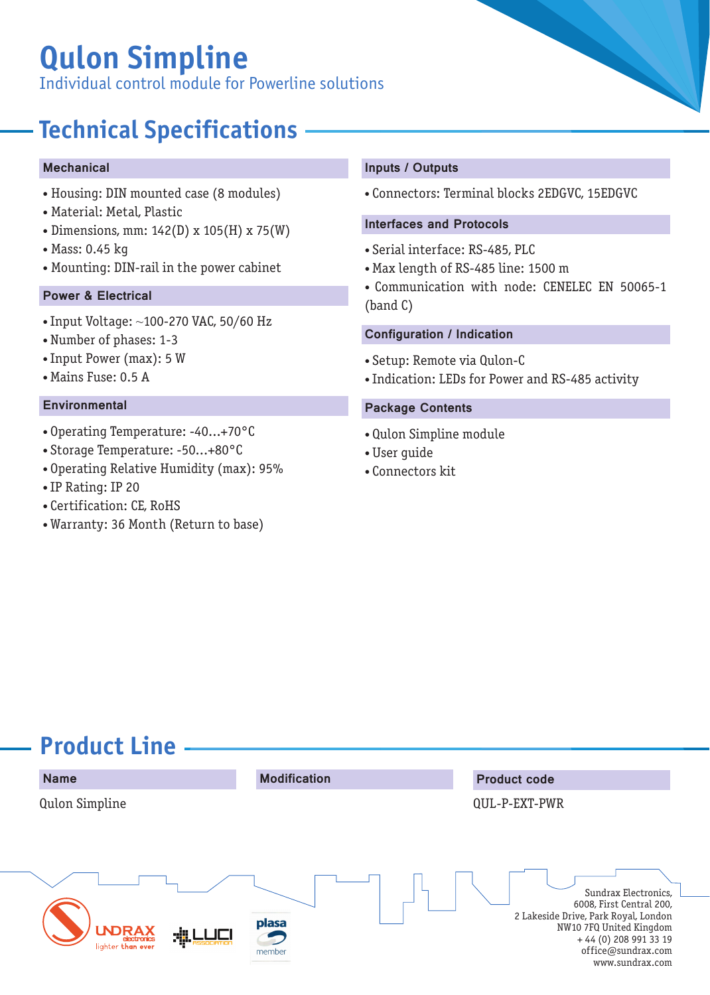# **Qulon Simpline**

Individual control module for Powerline solutions

# **Technical Specifications**

#### **Mechanical**

- Housing: DIN mounted case (8 modules)
- Material: Metal, Plastic
- Dimensions, mm: 142(D) x 105(H) x 75(W)
- Mass: 0.45 kg
- Mounting: DIN-rail in the power cabinet

### Power & Electrical

- Input Voltage: ~100-270 VAC, 50/60 Hz
- Number of phases: 1-3
- Input Power (max): 5 W
- Mains Fuse: 0.5 A

- Operating Temperature: -40...+70°C
- Storage Temperature: -50...+80°C
- Operating Relative Humidity (max): 95%
- IP Rating: IP 20
- Certification: CE, RoHS
- Warranty: 36 Month (Return to base)

#### Inputs / Outputs

• Connectors: Terminal blocks 2EDGVC, 15EDGVC

#### Interfaces and Protocols

- Serial interface: RS-485, PLC
- Max length of RS-485 line: 1500 m
- Communication with node: CENELEC EN 50065-1 (band C)

#### Configuration / Indication

- Setup: Remote via Qulon-C
- Indication: LEDs for Power and RS-485 activity

### Environmental **Package Contents**

- Qulon Simpline module
- User guide
- Connectors kit